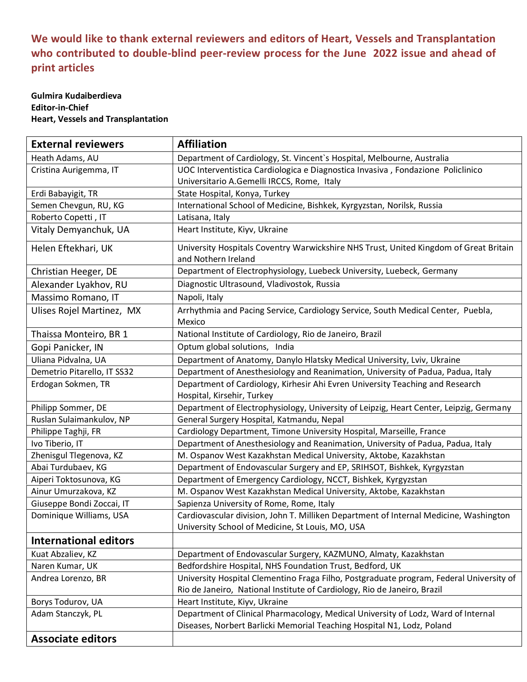## **We would like to thank external reviewers and editors of Heart, Vessels and Transplantation who contributed to double-blind peer-review process for the June 2022 issue and ahead of print articles**

## **Gulmira Kudaiberdieva Editor-in-Chief Heart, Vessels and Transplantation**

| <b>External reviewers</b>    | <b>Affiliation</b>                                                                                           |
|------------------------------|--------------------------------------------------------------------------------------------------------------|
| Heath Adams, AU              | Department of Cardiology, St. Vincent's Hospital, Melbourne, Australia                                       |
| Cristina Aurigemma, IT       | UOC Interventistica Cardiologica e Diagnostica Invasiva, Fondazione Policlinico                              |
|                              | Universitario A.Gemelli IRCCS, Rome, Italy                                                                   |
| Erdi Babayigit, TR           | State Hospital, Konya, Turkey                                                                                |
| Semen Chevgun, RU, KG        | International School of Medicine, Bishkek, Kyrgyzstan, Norilsk, Russia                                       |
| Roberto Copetti, IT          | Latisana, Italy                                                                                              |
| Vitaly Demyanchuk, UA        | Heart Institute, Kiyv, Ukraine                                                                               |
| Helen Eftekhari, UK          | University Hospitals Coventry Warwickshire NHS Trust, United Kingdom of Great Britain<br>and Nothern Ireland |
| Christian Heeger, DE         | Department of Electrophysiology, Luebeck University, Luebeck, Germany                                        |
| Alexander Lyakhov, RU        | Diagnostic Ultrasound, Vladivostok, Russia                                                                   |
| Massimo Romano, IT           | Napoli, Italy                                                                                                |
| Ulises Rojel Martinez, MX    | Arrhythmia and Pacing Service, Cardiology Service, South Medical Center, Puebla,<br>Mexico                   |
| Thaissa Monteiro, BR 1       | National Institute of Cardiology, Rio de Janeiro, Brazil                                                     |
| Gopi Panicker, IN            | Optum global solutions, India                                                                                |
| Uliana Pidvalna, UA          | Department of Anatomy, Danylo Hlatsky Medical University, Lviv, Ukraine                                      |
| Demetrio Pitarello, IT SS32  | Department of Anesthesiology and Reanimation, University of Padua, Padua, Italy                              |
| Erdogan Sokmen, TR           | Department of Cardiology, Kirhesir Ahi Evren University Teaching and Research                                |
|                              | Hospital, Kirsehir, Turkey                                                                                   |
| Philipp Sommer, DE           | Department of Electrophysiology, University of Leipzig, Heart Center, Leipzig, Germany                       |
| Ruslan Sulaimankulov, NP     | General Surgery Hospital, Katmandu, Nepal                                                                    |
| Philippe Taghji, FR          | Cardiology Department, Timone University Hospital, Marseille, France                                         |
| Ivo Tiberio, IT              | Department of Anesthesiology and Reanimation, University of Padua, Padua, Italy                              |
| Zhenisgul Tlegenova, KZ      | M. Ospanov West Kazakhstan Medical University, Aktobe, Kazakhstan                                            |
| Abai Turdubaev, KG           | Department of Endovascular Surgery and EP, SRIHSOT, Bishkek, Kyrgyzstan                                      |
| Aiperi Toktosunova, KG       | Department of Emergency Cardiology, NCCT, Bishkek, Kyrgyzstan                                                |
| Ainur Umurzakova, KZ         | M. Ospanov West Kazakhstan Medical University, Aktobe, Kazakhstan                                            |
| Giuseppe Bondi Zoccai, IT    | Sapienza University of Rome, Rome, Italy                                                                     |
| Dominique Williams, USA      | Cardiovascular division, John T. Milliken Department of Internal Medicine, Washington                        |
|                              | University School of Medicine, St Louis, MO, USA                                                             |
| <b>International editors</b> |                                                                                                              |
| Kuat Abzaliev, KZ            | Department of Endovascular Surgery, KAZMUNO, Almaty, Kazakhstan                                              |
| Naren Kumar, UK              | Bedfordshire Hospital, NHS Foundation Trust, Bedford, UK                                                     |
| Andrea Lorenzo, BR           | University Hospital Clementino Fraga Filho, Postgraduate program, Federal University of                      |
|                              | Rio de Janeiro, National Institute of Cardiology, Rio de Janeiro, Brazil                                     |
| Borys Todurov, UA            | Heart Institute, Kiyv, Ukraine                                                                               |
| Adam Stanczyk, PL            | Department of Clinical Pharmacology, Medical University of Lodz, Ward of Internal                            |
|                              | Diseases, Norbert Barlicki Memorial Teaching Hospital N1, Lodz, Poland                                       |
| <b>Associate editors</b>     |                                                                                                              |